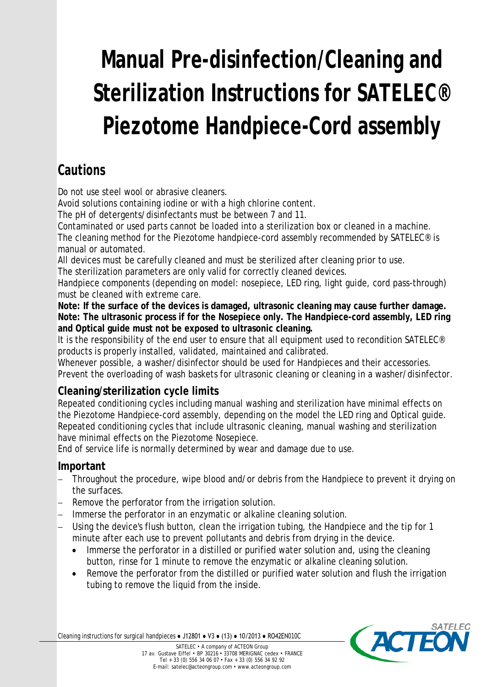# **Manual Pre-disinfection/Cleaning and Sterilization Instructions for SATELEC® Piezotome Handpiece-Cord assembly**

## **Cautions**

Do not use steel wool or abrasive cleaners.

Avoid solutions containing iodine or with a high chlorine content.

The pH of detergents/disinfectants must be between 7 and 11.

Contaminated or used parts cannot be loaded into a sterilization box or cleaned in a machine. The cleaning method for the Piezotome handpiece-cord assembly recommended by SATELEC® is manual or automated.

All devices must be carefully cleaned and must be sterilized after cleaning prior to use.

The sterilization parameters are only valid for correctly cleaned devices.

Handpiece components (depending on model: nosepiece, LED ring, light guide, cord pass-through) must be cleaned with extreme care.

**Note: If the surface of the devices is damaged, ultrasonic cleaning may cause further damage. Note: The ultrasonic process if for the Nosepiece only. The Handpiece-cord assembly, LED ring and Optical guide must not be exposed to ultrasonic cleaning.**

It is the responsibility of the end user to ensure that all equipment used to recondition SATELEC<sup>®</sup> products is properly installed, validated, maintained and calibrated.

Whenever possible, a washer/disinfector should be used for Handpieces and their accessories. Prevent the overloading of wash baskets for ultrasonic cleaning or cleaning in a washer/disinfector.

### **Cleaning/sterilization cycle limits**

Repeated conditioning cycles including manual washing and sterilization have minimal effects on the Piezotome Handpiece-cord assembly, depending on the model the LED ring and Optical guide. Repeated conditioning cycles that include ultrasonic cleaning, manual washing and sterilization have minimal effects on the Piezotome Nosepiece.

End of service life is normally determined by wear and damage due to use.

### **Important**

- Throughout the procedure, wipe blood and/or debris from the Handpiece to prevent it drying on the surfaces.
- Remove the perforator from the irrigation solution.
- − Immerse the perforator in an enzymatic or alkaline cleaning solution.
- − Using the device's flush button, clean the irrigation tubing, the Handpiece and the tip for 1 minute after each use to prevent pollutants and debris from drying in the device.
	- Immerse the perforator in a distilled or purified water solution and, using the cleaning button, rinse for 1 minute to remove the enzymatic or alkaline cleaning solution.
	- Remove the perforator from the distilled or purified water solution and flush the irrigation tubing to remove the liquid from the inside.



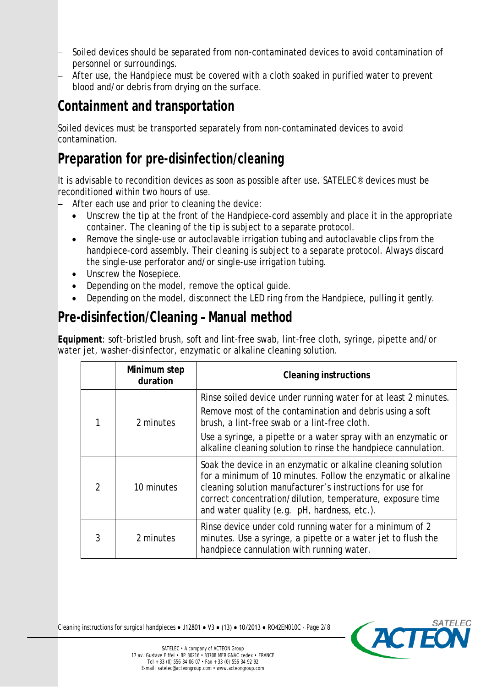- − Soiled devices should be separated from non-contaminated devices to avoid contamination of personnel or surroundings.
- After use, the Handpiece must be covered with a cloth soaked in purified water to prevent blood and/or debris from drying on the surface.

## **Containment and transportation**

Soiled devices must be transported separately from non-contaminated devices to avoid contamination.

## **Preparation for pre-disinfection/cleaning**

It is advisable to recondition devices as soon as possible after use. SATELEC® devices must be reconditioned within two hours of use.

- After each use and prior to cleaning the device:
	- Unscrew the tip at the front of the Handpiece-cord assembly and place it in the appropriate container. The cleaning of the tip is subject to a separate protocol.
	- Remove the single-use or autoclavable irrigation tubing and autoclavable clips from the handpiece-cord assembly. Their cleaning is subject to a separate protocol. Always discard the single-use perforator and/or single-use irrigation tubing.
	- Unscrew the Nosepiece.
	- Depending on the model, remove the optical guide.
	- Depending on the model, disconnect the LED ring from the Handpiece, pulling it gently.

## **Pre-disinfection/Cleaning – Manual method**

**Equipment**: soft-bristled brush, soft and lint-free swab, lint-free cloth, syringe, pipette and/or water jet, washer-disinfector, enzymatic or alkaline cleaning solution.

|                | Minimum step<br>duration | <b>Cleaning instructions</b>                                                                                                                                                                                                                                                                                     |
|----------------|--------------------------|------------------------------------------------------------------------------------------------------------------------------------------------------------------------------------------------------------------------------------------------------------------------------------------------------------------|
|                | 2 minutes                | Rinse soiled device under running water for at least 2 minutes.<br>Remove most of the contamination and debris using a soft<br>brush, a lint-free swab or a lint-free cloth.<br>Use a syringe, a pipette or a water spray with an enzymatic or<br>alkaline cleaning solution to rinse the handpiece cannulation. |
| $\overline{2}$ | 10 minutes               | Soak the device in an enzymatic or alkaline cleaning solution<br>for a minimum of 10 minutes. Follow the enzymatic or alkaline<br>cleaning solution manufacturer's instructions for use for<br>correct concentration/dilution, temperature, exposure time<br>and water quality (e.g. pH, hardness, etc.).        |
| 3              | 2 minutes                | Rinse device under cold running water for a minimum of 2<br>minutes. Use a syringe, a pipette or a water jet to flush the<br>handpiece cannulation with running water.                                                                                                                                           |

Cleaning instructions for surgical handpieces ● J12801 ● V3 ● (13) ● 10/2013 ● RO42EN010C - Page 2/8

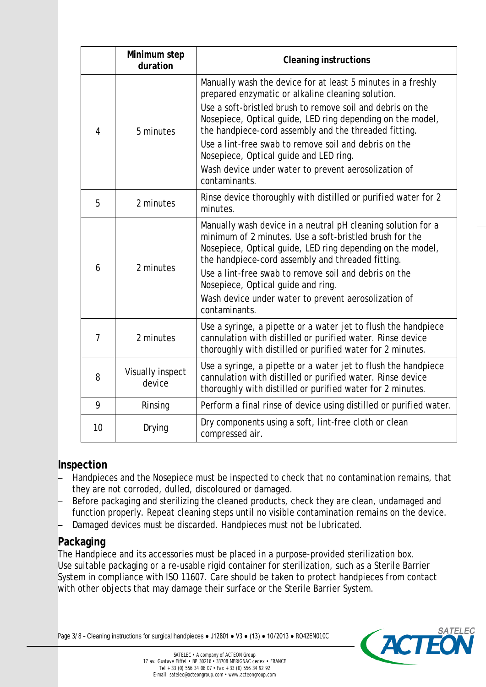|                | Minimum step<br>duration                                                                                                                                                                                                                                                                                                                                                                                                                                                                        | <b>Cleaning instructions</b>                                                                                                                                                                                                                                                                                                                                                                                       |  |
|----------------|-------------------------------------------------------------------------------------------------------------------------------------------------------------------------------------------------------------------------------------------------------------------------------------------------------------------------------------------------------------------------------------------------------------------------------------------------------------------------------------------------|--------------------------------------------------------------------------------------------------------------------------------------------------------------------------------------------------------------------------------------------------------------------------------------------------------------------------------------------------------------------------------------------------------------------|--|
| 4              | Manually wash the device for at least 5 minutes in a freshly<br>prepared enzymatic or alkaline cleaning solution.<br>Use a soft-bristled brush to remove soil and debris on the<br>Nosepiece, Optical guide, LED ring depending on the model,<br>the handpiece-cord assembly and the threaded fitting.<br>5 minutes<br>Use a lint-free swab to remove soil and debris on the<br>Nosepiece, Optical guide and LED ring.<br>Wash device under water to prevent aerosolization of<br>contaminants. |                                                                                                                                                                                                                                                                                                                                                                                                                    |  |
| 5              | 2 minutes                                                                                                                                                                                                                                                                                                                                                                                                                                                                                       | Rinse device thoroughly with distilled or purified water for 2<br>minutes.                                                                                                                                                                                                                                                                                                                                         |  |
| 6              | 2 minutes                                                                                                                                                                                                                                                                                                                                                                                                                                                                                       | Manually wash device in a neutral pH cleaning solution for a<br>minimum of 2 minutes. Use a soft-bristled brush for the<br>Nosepiece, Optical guide, LED ring depending on the model,<br>the handpiece-cord assembly and threaded fitting.<br>Use a lint-free swab to remove soil and debris on the<br>Nosepiece, Optical guide and ring.<br>Wash device under water to prevent aerosolization of<br>contaminants. |  |
| $\overline{7}$ | 2 minutes                                                                                                                                                                                                                                                                                                                                                                                                                                                                                       | Use a syringe, a pipette or a water jet to flush the handpiece<br>cannulation with distilled or purified water. Rinse device<br>thoroughly with distilled or purified water for 2 minutes.                                                                                                                                                                                                                         |  |
| 8              | <b>Visually inspect</b><br>device                                                                                                                                                                                                                                                                                                                                                                                                                                                               | Use a syringe, a pipette or a water jet to flush the handpiece<br>cannulation with distilled or purified water. Rinse device<br>thoroughly with distilled or purified water for 2 minutes.                                                                                                                                                                                                                         |  |
| 9              | Rinsing                                                                                                                                                                                                                                                                                                                                                                                                                                                                                         | Perform a final rinse of device using distilled or purified water.                                                                                                                                                                                                                                                                                                                                                 |  |
| 10             | Drying                                                                                                                                                                                                                                                                                                                                                                                                                                                                                          | Dry components using a soft, lint-free cloth or clean<br>compressed air.                                                                                                                                                                                                                                                                                                                                           |  |

#### **Inspection**

- Handpieces and the Nosepiece must be inspected to check that no contamination remains, that they are not corroded, dulled, discoloured or damaged.
- Before packaging and sterilizing the cleaned products, check they are clean, undamaged and function properly. Repeat cleaning steps until no visible contamination remains on the device.
- Damaged devices must be discarded. Handpieces must not be lubricated.

#### **Packaging**

The Handpiece and its accessories must be placed in a purpose-provided sterilization box. Use suitable packaging or a re-usable rigid container for sterilization, such as a Sterile Barrier System in compliance with ISO 11607. Care should be taken to protect handpieces from contact with other objects that may damage their surface or the Sterile Barrier System.

Page 3/8 – Cleaning instructions for surgical handpieces ● J12801 ● V3 ● (13) ● 10/2013 ● RO42EN010C

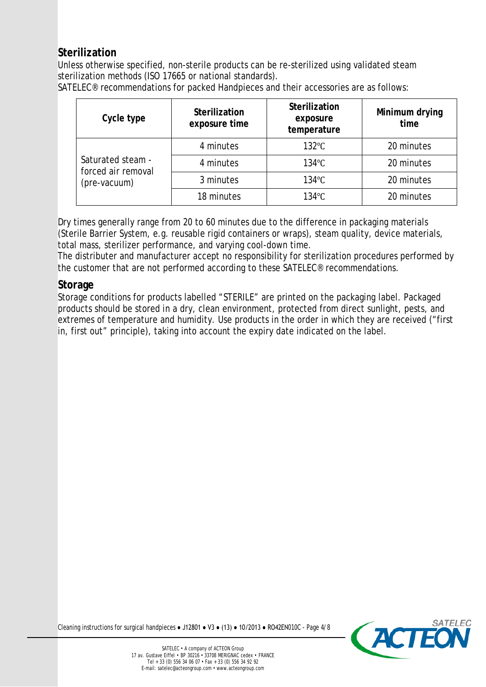#### **Sterilization**

Unless otherwise specified, non-sterile products can be re-sterilized using validated steam sterilization methods (ISO 17665 or national standards).

SATELEC® recommendations for packed Handpieces and their accessories are as follows:

| Cycle type                              | Sterilization<br>exposure time | Sterilization<br>exposure<br>temperature | Minimum drying<br>time |
|-----------------------------------------|--------------------------------|------------------------------------------|------------------------|
|                                         | 4 minutes                      | $132^{\circ}$ C                          | 20 minutes             |
| Saturated steam -<br>forced air removal | 4 minutes                      | $134^{\circ}$ C                          | 20 minutes             |
| (pre-vacuum)                            | 3 minutes                      | $134^{\circ}$ C                          | 20 minutes             |
|                                         | 18 minutes                     | $134^{\circ}$ C                          | 20 minutes             |

Dry times generally range from 20 to 60 minutes due to the difference in packaging materials (Sterile Barrier System, e.g. reusable rigid containers or wraps), steam quality, device materials, total mass, sterilizer performance, and varying cool-down time.

The distributer and manufacturer accept no responsibility for sterilization procedures performed by the customer that are not performed according to these SATELEC® recommendations.

#### **Storage**

Storage conditions for products labelled "STERILE" are printed on the packaging label. Packaged products should be stored in a dry, clean environment, protected from direct sunlight, pests, and extremes of temperature and humidity. Use products in the order in which they are received ("first in, first out" principle), taking into account the expiry date indicated on the label.

Cleaning instructions for surgical handpieces ● J12801 ● V3 ● (13) ● 10/2013 ● RO42EN010C - Page 4/8

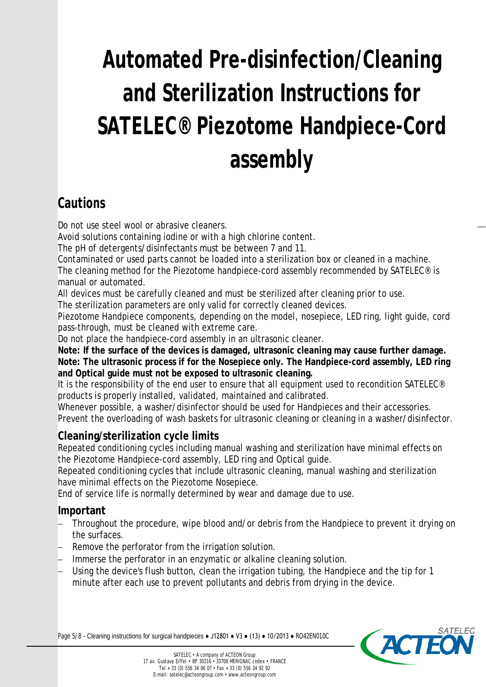# **Automated Pre-disinfection/Cleaning and Sterilization Instructions for SATELEC® Piezotome Handpiece-Cord assembly**

## **Cautions**

Do not use steel wool or abrasive cleaners.

Avoid solutions containing iodine or with a high chlorine content.

The pH of detergents/disinfectants must be between 7 and 11.

Contaminated or used parts cannot be loaded into a sterilization box or cleaned in a machine. The cleaning method for the Piezotome handpiece-cord assembly recommended by SATELEC® is manual or automated.

All devices must be carefully cleaned and must be sterilized after cleaning prior to use.

The sterilization parameters are only valid for correctly cleaned devices.

Piezotome Handpiece components, depending on the model, nosepiece, LED ring, light guide, cord pass-through, must be cleaned with extreme care.

Do not place the handpiece-cord assembly in an ultrasonic cleaner.

**Note: If the surface of the devices is damaged, ultrasonic cleaning may cause further damage. Note: The ultrasonic process if for the Nosepiece only. The Handpiece-cord assembly, LED ring and Optical guide must not be exposed to ultrasonic cleaning.**

It is the responsibility of the end user to ensure that all equipment used to recondition SATELEC<sup>®</sup> products is properly installed, validated, maintained and calibrated.

Whenever possible, a washer/disinfector should be used for Handpieces and their accessories. Prevent the overloading of wash baskets for ultrasonic cleaning or cleaning in a washer/disinfector.

#### **Cleaning/sterilization cycle limits**

Repeated conditioning cycles including manual washing and sterilization have minimal effects on the Piezotome Handpiece-cord assembly, LED ring and Optical guide.

Repeated conditioning cycles that include ultrasonic cleaning, manual washing and sterilization have minimal effects on the Piezotome Nosepiece.

End of service life is normally determined by wear and damage due to use.

#### **Important**

- Throughout the procedure, wipe blood and/or debris from the Handpiece to prevent it drying on the surfaces.
- Remove the perforator from the irrigation solution.
- Immerse the perforator in an enzymatic or alkaline cleaning solution.
- Using the device's flush button, clean the irrigation tubing, the Handpiece and the tip for 1 minute after each use to prevent pollutants and debris from drying in the device.

Page 5/8 – Cleaning instructions for surgical handpieces ● J12801 ● V3 ● (13) ● 10/2013 ● RO42EN010C

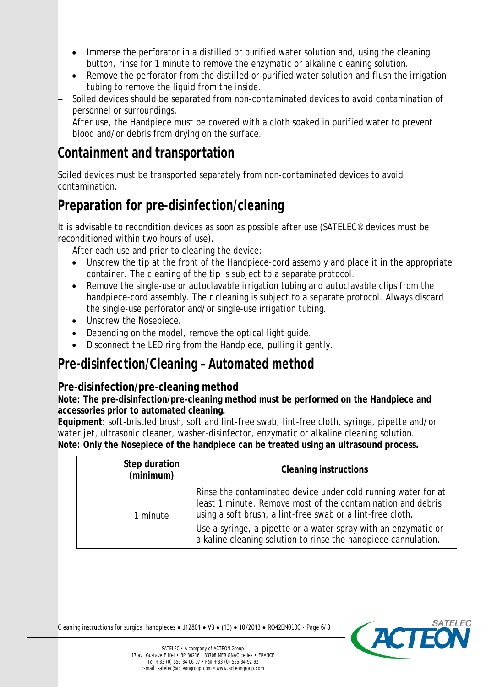- Immerse the perforator in a distilled or purified water solution and, using the cleaning button, rinse for 1 minute to remove the enzymatic or alkaline cleaning solution.
- Remove the perforator from the distilled or purified water solution and flush the irrigation tubing to remove the liquid from the inside.
- Soiled devices should be separated from non-contaminated devices to avoid contamination of personnel or surroundings.
- After use, the Handpiece must be covered with a cloth soaked in purified water to prevent blood and/or debris from drying on the surface.

## **Containment and transportation**

Soiled devices must be transported separately from non-contaminated devices to avoid contamination.

## **Preparation for pre-disinfection/cleaning**

It is advisable to recondition devices as soon as possible after use (SATELEC® devices must be reconditioned within two hours of use).

- After each use and prior to cleaning the device:
	- Unscrew the tip at the front of the Handpiece-cord assembly and place it in the appropriate container. The cleaning of the tip is subject to a separate protocol.
	- Remove the single-use or autoclavable irrigation tubing and autoclavable clips from the handpiece-cord assembly. Their cleaning is subject to a separate protocol. Always discard the single-use perforator and/or single-use irrigation tubing.
	- Unscrew the Nosepiece.
	- Depending on the model, remove the optical light guide.
	- Disconnect the LED ring from the Handpiece, pulling it gently.

## **Pre-disinfection/Cleaning – Automated method**

#### **Pre-disinfection/pre-cleaning method**

#### **Note: The pre-disinfection/pre-cleaning method must be performed on the Handpiece and accessories prior to automated cleaning.**

**Equipment**: soft-bristled brush, soft and lint-free swab, lint-free cloth, syringe, pipette and/or water jet, ultrasonic cleaner, washer-disinfector, enzymatic or alkaline cleaning solution. **Note: Only the Nosepiece of the handpiece can be treated using an ultrasound process.**

|  | Step duration<br>(minimum) | <b>Cleaning instructions</b>                                                                                                                                                               |
|--|----------------------------|--------------------------------------------------------------------------------------------------------------------------------------------------------------------------------------------|
|  | 1 minute                   | Rinse the contaminated device under cold running water for at<br>least 1 minute. Remove most of the contamination and debris<br>using a soft brush, a lint-free swab or a lint-free cloth. |
|  |                            | Use a syringe, a pipette or a water spray with an enzymatic or<br>alkaline cleaning solution to rinse the handpiece cannulation.                                                           |

Cleaning instructions for surgical handpieces ● J12801 ● V3 ● (13) ● 10/2013 ● RO42EN010C - Page 6/8

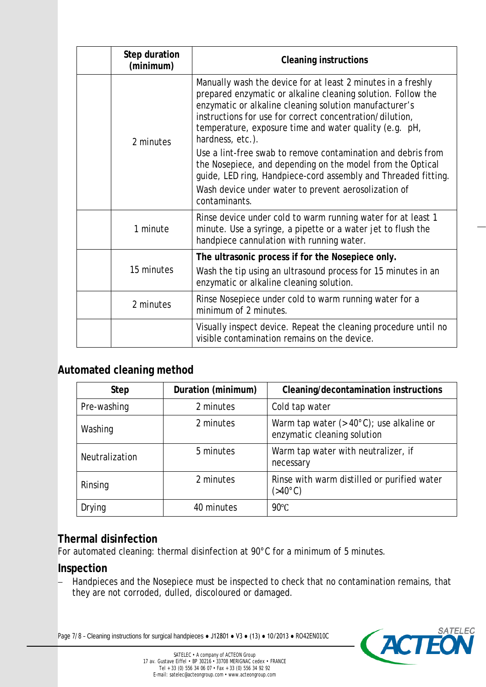| Step duration<br>(minimum) | <b>Cleaning instructions</b>                                                                                                                                                                                                                                                                                                                                                                                                                                                                                                                                                                              |  |
|----------------------------|-----------------------------------------------------------------------------------------------------------------------------------------------------------------------------------------------------------------------------------------------------------------------------------------------------------------------------------------------------------------------------------------------------------------------------------------------------------------------------------------------------------------------------------------------------------------------------------------------------------|--|
| 2 minutes                  | Manually wash the device for at least 2 minutes in a freshly<br>prepared enzymatic or alkaline cleaning solution. Follow the<br>enzymatic or alkaline cleaning solution manufacturer's<br>instructions for use for correct concentration/dilution,<br>temperature, exposure time and water quality (e.g. pH,<br>hardness, etc.).<br>Use a lint-free swab to remove contamination and debris from<br>the Nosepiece, and depending on the model from the Optical<br>guide, LED ring, Handpiece-cord assembly and Threaded fitting.<br>Wash device under water to prevent aerosolization of<br>contaminants. |  |
| 1 minute                   | Rinse device under cold to warm running water for at least 1<br>minute. Use a syringe, a pipette or a water jet to flush the<br>handpiece cannulation with running water.                                                                                                                                                                                                                                                                                                                                                                                                                                 |  |
| 15 minutes                 | The ultrasonic process if for the Nosepiece only.<br>Wash the tip using an ultrasound process for 15 minutes in an<br>enzymatic or alkaline cleaning solution.                                                                                                                                                                                                                                                                                                                                                                                                                                            |  |
| 2 minutes                  | Rinse Nosepiece under cold to warm running water for a<br>minimum of 2 minutes.                                                                                                                                                                                                                                                                                                                                                                                                                                                                                                                           |  |
|                            | Visually inspect device. Repeat the cleaning procedure until no<br>visible contamination remains on the device.                                                                                                                                                                                                                                                                                                                                                                                                                                                                                           |  |

#### **Automated cleaning method**

| <b>Step</b>    | Duration (minimum) | Cleaning/decontamination instructions                                              |  |
|----------------|--------------------|------------------------------------------------------------------------------------|--|
| Pre-washing    | 2 minutes          | Cold tap water                                                                     |  |
| Washing        | 2 minutes          | Warm tap water ( $> 40^{\circ}$ C); use alkaline or<br>enzymatic cleaning solution |  |
| Neutralization | 5 minutes          | Warm tap water with neutralizer, if<br>necessary                                   |  |
| Rinsing        | 2 minutes          | Rinse with warm distilled or purified water<br>$( >40^{\circ}C)$                   |  |
| Drying         | 40 minutes         | $90^{\circ}$ C                                                                     |  |

#### **Thermal disinfection**

For automated cleaning: thermal disinfection at 90°C for a minimum of 5 minutes.

#### **Inspection**

− Handpieces and the Nosepiece must be inspected to check that no contamination remains, that they are not corroded, dulled, discoloured or damaged.

Page 7/8 - Cleaning instructions for surgical handpieces • J12801 • V3 • (13) • 10/2013 • RO42EN010C